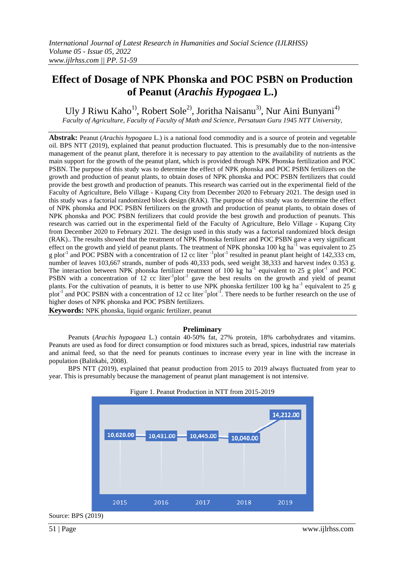# **Effect of Dosage of NPK Phonska and POC PSBN on Production of Peanut (***Arachis Hypogaea* **L.)**

Uly J Riwu Kaho<sup>1)</sup>, Robert Sole<sup>2)</sup>, Joritha Naisanu<sup>3)</sup>, Nur Aini Bunyani<sup>4)</sup> *Faculty of Agriculture, Faculty of Faculty of Math and Science, Persatuan Guru 1945 NTT University,* 

**Abstrak:** Peanut (*Arachis hypogaea* L.) is a national food commodity and is a source of protein and vegetable oil. BPS NTT (2019), explained that peanut production fluctuated. This is presumably due to the non-intensive management of the peanut plant, therefore it is necessary to pay attention to the availability of nutrients as the main support for the growth of the peanut plant, which is provided through NPK Phonska fertilization and POC PSBN. The purpose of this study was to determine the effect of NPK phonska and POC PSBN fertilizers on the growth and production of peanut plants, to obtain doses of NPK phonska and POC PSBN fertilizers that could provide the best growth and production of peanuts. This research was carried out in the experimental field of the Faculty of Agriculture, Belo Village - Kupang City from December 2020 to February 2021. The design used in this study was a factorial randomized block design (RAK). The purpose of this study was to determine the effect of NPK phonska and POC PSBN fertilizers on the growth and production of peanut plants, to obtain doses of NPK phonska and POC PSBN fertilizers that could provide the best growth and production of peanuts. This research was carried out in the experimental field of the Faculty of Agriculture, Belo Village - Kupang City from December 2020 to February 2021. The design used in this study was a factorial randomized block design (RAK).. The results showed that the treatment of NPK Phonska fertilizer and POC PSBN gave a very significant effect on the growth and yield of peanut plants. The treatment of NPK phonska 100 kg ha<sup>-1</sup> was equivalent to 25 g plot<sup>-1</sup> and POC PSBN with a concentration of 12 cc liter  $^{-1}$ plot<sup>-1</sup> resulted in peanut plant height of 142,333 cm, number of leaves 103,667 strands, number of pods 40,333 pods, seed weight 38,333 and harvest index 0.353 g. The interaction between NPK phonska fertilizer treatment of 100 kg ha<sup>-1</sup> equivalent to 25 g plot<sup>-1</sup> and POC PSBN with a concentration of 12 cc liter $^{-1}$ plot<sup>-1</sup> gave the best results on the growth and yield of peanut plants. For the cultivation of peanuts, it is better to use NPK phonska fertilizer 100 kg ha<sup>-1</sup> equivalent to 25 g plot<sup>-1</sup> and POC PSBN with a concentration of 12 cc liter<sup>-1</sup>plot<sup>-1</sup>. There needs to be further research on the use of higher doses of NPK phonska and POC PSBN fertilizers.

**Keywords:** NPK phonska, liquid organic fertilizer, peanut

### **Preliminary**

Peanuts (*Arachis hypogaea* L.) contain 40-50% fat, 27% protein, 18% carbohydrates and vitamins. Peanuts are used as food for direct consumption or food mixtures such as bread, spices, industrial raw materials and animal feed, so that the need for peanuts continues to increase every year in line with the increase in population (Balitkabi, 2008).

BPS NTT (2019), explained that peanut production from 2015 to 2019 always fluctuated from year to year. This is presumably because the management of peanut plant management is not intensive.



Source: BPS (2019)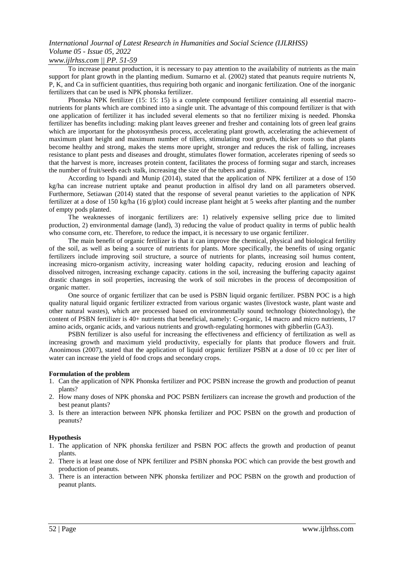### *www.ijlrhss.com || PP. 51-59*

To increase peanut production, it is necessary to pay attention to the availability of nutrients as the main support for plant growth in the planting medium. Sumarno et al. (2002) stated that peanuts require nutrients N, P, K, and Ca in sufficient quantities, thus requiring both organic and inorganic fertilization. One of the inorganic fertilizers that can be used is NPK phonska fertilizer.

Phonska NPK fertilizer (15: 15: 15) is a complete compound fertilizer containing all essential macronutrients for plants which are combined into a single unit. The advantage of this compound fertilizer is that with one application of fertilizer it has included several elements so that no fertilizer mixing is needed. Phonska fertilizer has benefits including: making plant leaves greener and fresher and containing lots of green leaf grains which are important for the photosynthesis process, accelerating plant growth, accelerating the achievement of maximum plant height and maximum number of tillers, stimulating root growth, thicker roots so that plants become healthy and strong, makes the stems more upright, stronger and reduces the risk of falling, increases resistance to plant pests and diseases and drought, stimulates flower formation, accelerates ripening of seeds so that the harvest is more, increases protein content, facilitates the process of forming sugar and starch, increases the number of fruit/seeds each stalk, increasing the size of the tubers and grains.

According to Ispandi and Munip (2014), stated that the application of NPK fertilizer at a dose of 150 kg/ha can increase nutrient uptake and peanut production in alfisol dry land on all parameters observed. Furthermore, Setiawan (2014) stated that the response of several peanut varieties to the application of NPK fertilizer at a dose of 150 kg/ha (16 g/plot) could increase plant height at 5 weeks after planting and the number of empty pods planted.

The weaknesses of inorganic fertilizers are: 1) relatively expensive selling price due to limited production, 2) environmental damage (land), 3) reducing the value of product quality in terms of public health who consume corn, etc. Therefore, to reduce the impact, it is necessary to use organic fertilizer.

The main benefit of organic fertilizer is that it can improve the chemical, physical and biological fertility of the soil, as well as being a source of nutrients for plants. More specifically, the benefits of using organic fertilizers include improving soil structure, a source of nutrients for plants, increasing soil humus content, increasing micro-organism activity, increasing water holding capacity, reducing erosion and leaching of dissolved nitrogen, increasing exchange capacity. cations in the soil, increasing the buffering capacity against drastic changes in soil properties, increasing the work of soil microbes in the process of decomposition of organic matter.

One source of organic fertilizer that can be used is PSBN liquid organic fertilizer. PSBN POC is a high quality natural liquid organic fertilizer extracted from various organic wastes (livestock waste, plant waste and other natural wastes), which are processed based on environmentally sound technology (biotechnology), the content of PSBN fertilizer is 40+ nutrients that beneficial, namely: C-organic, 14 macro and micro nutrients, 17 amino acids, organic acids, and various nutrients and growth-regulating hormones with gibberlin (GA3).

PSBN fertilizer is also useful for increasing the effectiveness and efficiency of fertilization as well as increasing growth and maximum yield productivity, especially for plants that produce flowers and fruit. Anonimous (2007), stated that the application of liquid organic fertilizer PSBN at a dose of 10 cc per liter of water can increase the yield of food crops and secondary crops.

### **Formulation of the problem**

- 1. Can the application of NPK Phonska fertilizer and POC PSBN increase the growth and production of peanut plants?
- 2. How many doses of NPK phonska and POC PSBN fertilizers can increase the growth and production of the best peanut plants?
- 3. Is there an interaction between NPK phonska fertilizer and POC PSBN on the growth and production of peanuts?

### **Hypothesis**

- 1. The application of NPK phonska fertilizer and PSBN POC affects the growth and production of peanut plants.
- 2. There is at least one dose of NPK fertilizer and PSBN phonska POC which can provide the best growth and production of peanuts.
- 3. There is an interaction between NPK phonska fertilizer and POC PSBN on the growth and production of peanut plants.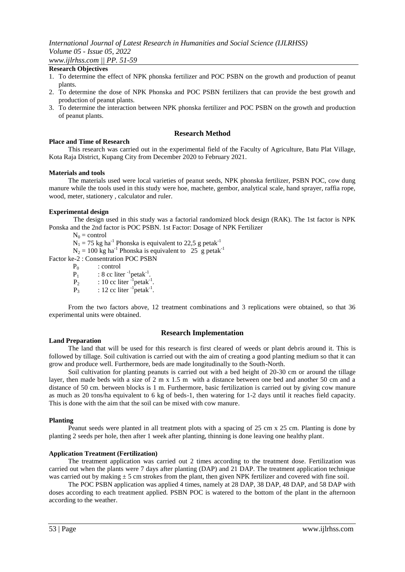#### **Research Objectives**

- 1. To determine the effect of NPK phonska fertilizer and POC PSBN on the growth and production of peanut plants.
- 2. To determine the dose of NPK Phonska and POC PSBN fertilizers that can provide the best growth and production of peanut plants.
- 3. To determine the interaction between NPK phonska fertilizer and POC PSBN on the growth and production of peanut plants.

#### **Research Method**

#### **Place and Time of Research**

This research was carried out in the experimental field of the Faculty of Agriculture, Batu Plat Village, Kota Raja District, Kupang City from December 2020 to February 2021.

#### **Materials and tools**

The materials used were local varieties of peanut seeds, NPK phonska fertilizer, PSBN POC, cow dung manure while the tools used in this study were hoe, machete, gembor, analytical scale, hand sprayer, raffia rope, wood, meter, stationery , calculator and ruler.

#### **Experimental design**

The design used in this study was a factorial randomized block design (RAK). The 1st factor is NPK Ponska and the 2nd factor is POC PSBN. 1st Factor: Dosage of NPK Fertilizer

 $N_0$  = control

 $N_1 = 75$  kg ha<sup>-1</sup> Phonska is equivalent to 22,5 g petak<sup>-1</sup>

 $N_2 = 100$  kg ha<sup>-1</sup> Phonska is equivalent to 25 g petak<sup>-1</sup>

Factor ke-2 : Consentration POC PSBN

 $P_0$  : control

 $P_1$  : 8 cc liter  $^{-1}$  petak<sup>-1</sup>.

 $P_2$  : 10 cc liter <sup>-1</sup> petak<sup>-1</sup>.

 $P_3$  : 12 cc liter  $\mathrm{P}_2$ <sup>1</sup> petak<sup>-1</sup>.

From the two factors above, 12 treatment combinations and 3 replications were obtained, so that 36 experimental units were obtained.

### **Research Implementation**

#### **Land Preparation**

The land that will be used for this research is first cleared of weeds or plant debris around it. This is followed by tillage. Soil cultivation is carried out with the aim of creating a good planting medium so that it can grow and produce well. Furthermore, beds are made longitudinally to the South-North.

Soil cultivation for planting peanuts is carried out with a bed height of 20-30 cm or around the tillage layer, then made beds with a size of 2 m x 1.5 m with a distance between one bed and another 50 cm and a distance of 50 cm. between blocks is 1 m. Furthermore, basic fertilization is carried out by giving cow manure as much as 20 tons/ha equivalent to 6 kg of beds-1, then watering for 1-2 days until it reaches field capacity. This is done with the aim that the soil can be mixed with cow manure.

#### **Planting**

Peanut seeds were planted in all treatment plots with a spacing of 25 cm x 25 cm. Planting is done by planting 2 seeds per hole, then after 1 week after planting, thinning is done leaving one healthy plant.

#### **Application Treatment (Fertilization)**

The treatment application was carried out 2 times according to the treatment dose. Fertilization was carried out when the plants were 7 days after planting (DAP) and 21 DAP. The treatment application technique was carried out by making  $\pm 5$  cm strokes from the plant, then given NPK fertilizer and covered with fine soil.

The POC PSBN application was applied 4 times, namely at 28 DAP, 38 DAP, 48 DAP, and 58 DAP with doses according to each treatment applied. PSBN POC is watered to the bottom of the plant in the afternoon according to the weather.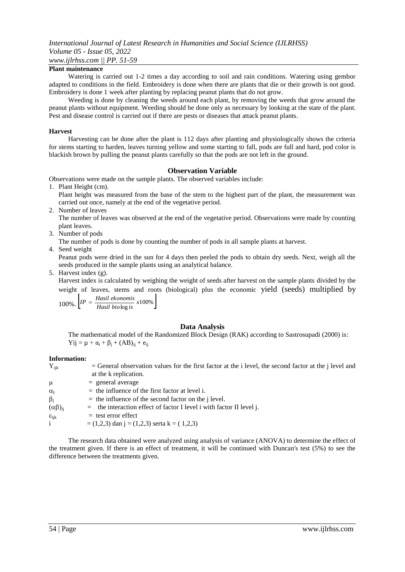### **Plant maintenance**

Watering is carried out 1-2 times a day according to soil and rain conditions. Watering using gembor adapted to conditions in the field. Embroidery is done when there are plants that die or their growth is not good. Embroidery is done 1 week after planting by replacing peanut plants that do not grow.

Weeding is done by cleaning the weeds around each plant, by removing the weeds that grow around the peanut plants without equipment. Weeding should be done only as necessary by looking at the state of the plant. Pest and disease control is carried out if there are pests or diseases that attack peanut plants.

### **Harvest**

Harvesting can be done after the plant is 112 days after planting and physiologically shows the criteria for stems starting to harden, leaves turning yellow and some starting to fall, pods are full and hard, pod color is blackish brown by pulling the peanut plants carefully so that the pods are not left in the ground.

### **Observation Variable**

Observations were made on the sample plants. The observed variables include:

- 1. Plant Height (cm).
	- Plant height was measured from the base of the stem to the highest part of the plant, the measurement was carried out once, namely at the end of the vegetative period.
- 2. Number of leaves

The number of leaves was observed at the end of the vegetative period. Observations were made by counting plant leaves.

3. Number of pods

The number of pods is done by counting the number of pods in all sample plants at harvest.

4. Seed weight

Peanut pods were dried in the sun for 4 days then peeled the pods to obtain dry seeds. Next, weigh all the seeds produced in the sample plants using an analytical balance.

5. Harvest index (g).

Harvest index is calculated by weighing the weight of seeds after harvest on the sample plants divided by the weight of leaves, stems and roots (biological) plus the economic yield (seeds) multiplied by

 $100\%$ .  $\left[IP = \frac{Hasil \text{ ekonomis}}{Hasil \text{ biologis}} \cdot x100\% \right]$ 

### **Data Analysis**

The mathematical model of the Randomized Block Design (RAK) according to Sastrosupadi (2000) is:  $Yij = μ + α<sub>i</sub> + β<sub>i</sub> + (AB)<sub>ij</sub> + e<sub>ij</sub>$ 

### **Information:**

| $Y_{ijk}$            | $=$ General observation values for the first factor at the i level, the second factor at the j level and<br>at the k replication. |
|----------------------|-----------------------------------------------------------------------------------------------------------------------------------|
| $\mu$                | $=$ general average                                                                                                               |
| $\alpha_I$           | $=$ the influence of the first factor at level i.                                                                                 |
| $\beta_i$            | $=$ the influence of the second factor on the j level.                                                                            |
| $(\alpha\beta)_{ii}$ | $=$ the interaction effect of factor I level i with factor II level j.                                                            |
| $\epsilon_{ijk}$     | $=$ test error effect                                                                                                             |
| $\mathbf{i}$         | $= (1,2,3)$ dan j = $(1,2,3)$ serta k = $(1,2,3)$                                                                                 |
|                      |                                                                                                                                   |

The research data obtained were analyzed using analysis of variance (ANOVA) to determine the effect of the treatment given. If there is an effect of treatment, it will be continued with Duncan's test (5%) to see the difference between the treatments given.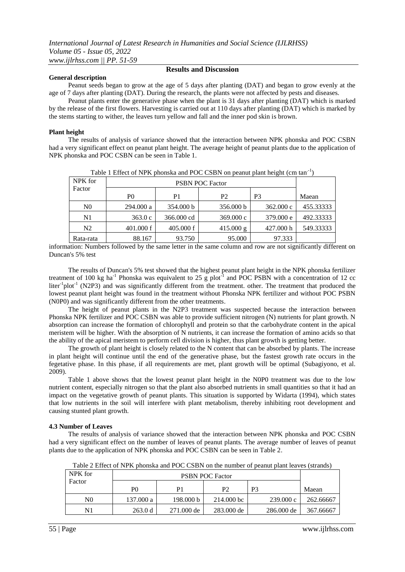### **General description**

**Results and Discussion**

Peanut seeds began to grow at the age of 5 days after planting (DAT) and began to grow evenly at the age of 7 days after planting (DAT). During the research, the plants were not affected by pests and diseases.

Peanut plants enter the generative phase when the plant is 31 days after planting (DAT) which is marked by the release of the first flowers. Harvesting is carried out at 110 days after planting (DAT) which is marked by the stems starting to wither, the leaves turn yellow and fall and the inner pod skin is brown.

### **Plant height**

The results of analysis of variance showed that the interaction between NPK phonska and POC CSBN had a very significant effect on peanut plant height. The average height of peanut plants due to the application of NPK phonska and POC CSBN can be seen in Table 1.

| Table T Effect of Terry phonona and T OC CODIT on peanut plant neight (em tan |                |            |                     |                     |           |
|-------------------------------------------------------------------------------|----------------|------------|---------------------|---------------------|-----------|
| NPK for                                                                       |                |            |                     |                     |           |
| Factor                                                                        | P <sub>0</sub> | P1         | P2                  | P <sub>3</sub>      | Maean     |
| N <sub>0</sub>                                                                | 294.000 a      | 354.000 b  | 356,000 b           | $362,000 \text{ c}$ | 455.33333 |
| N1                                                                            | 363.0c         | 366.000 cd | 369.000c            | 379.000 e           | 492.33333 |
| N <sub>2</sub>                                                                | $401,000$ f    | 405.000 f  | $415.000 \text{ g}$ | 427.000 h           | 549.33333 |
| Rata-rata                                                                     | 88.167         | 93.750     | 95.000              | 97.333              |           |

Table 1 Effect of NPK phonska and POC CSBN on peanut plant height (cm tan<sup>-1</sup>)

information: Numbers followed by the same letter in the same column and row are not significantly different on Duncan's 5% test

The results of Duncan's 5% test showed that the highest peanut plant height in the NPK phonska fertilizer treatment of 100 kg ha<sup>-1</sup> Phonska was equivalent to 25 g plot<sup>-1</sup> and POC PSBN with a concentration of 12 cc liter<sup>-1</sup>plot<sup>-1</sup> (N2P3) and was significantly different from the treatment. other. The treatment that produced the lowest peanut plant height was found in the treatment without Phonska NPK fertilizer and without POC PSBN (N0P0) and was significantly different from the other treatments.

The height of peanut plants in the N2P3 treatment was suspected because the interaction between Phonska NPK fertilizer and POC CSBN was able to provide sufficient nitrogen (N) nutrients for plant growth. N absorption can increase the formation of chlorophyll and protein so that the carbohydrate content in the apical meristem will be higher. With the absorption of N nutrients, it can increase the formation of amino acids so that the ability of the apical meristem to perform cell division is higher, thus plant growth is getting better.

The growth of plant height is closely related to the N content that can be absorbed by plants. The increase in plant height will continue until the end of the generative phase, but the fastest growth rate occurs in the fegetative phase. In this phase, if all requirements are met, plant growth will be optimal (Subagiyono, et al. 2009).

Table 1 above shows that the lowest peanut plant height in the N0P0 treatment was due to the low nutrient content, especially nitrogen so that the plant also absorbed nutrients in small quantities so that it had an impact on the vegetative growth of peanut plants. This situation is supported by Widarta (1994), which states that low nutrients in the soil will interfere with plant metabolism, thereby inhibiting root development and causing stunted plant growth.

#### **4.3 Number of Leaves**

The results of analysis of variance showed that the interaction between NPK phonska and POC CSBN had a very significant effect on the number of leaves of peanut plants. The average number of leaves of peanut plants due to the application of NPK phonska and POC CSBN can be seen in Table 2.

Table 2 Effect of NPK phonska and POC CSBN on the number of peanut plant leaves (strands)

| NPK for | <b>PSBN POC Factor</b> |            |            |                |           |
|---------|------------------------|------------|------------|----------------|-----------|
| Factor  | P <sub>0</sub>         | P1         | P2         | P <sub>3</sub> | Maean     |
| N0      | 137.000 a              | 198,000 b  | 214.000 bc | 239.000c       | 262.66667 |
| N1      | 263.0 d                | 271.000 de | 283,000 de | 286,000 de     | 367.66667 |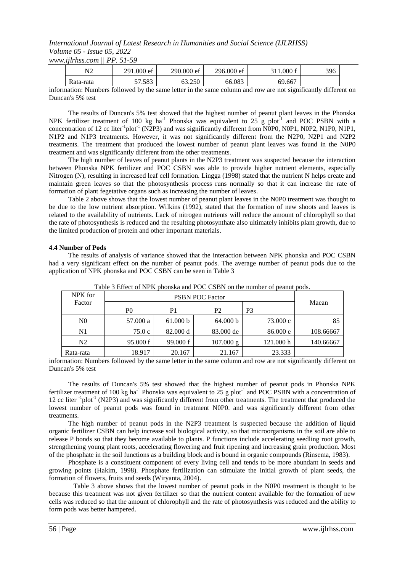*www.ijlrhss.com || PP. 51-59*

| $N^{\gamma}$<br>. Y Z | 291.000 ef<br>$\sim$ | 290.000 ef<br>$\sim$ | 296.000 ef | .000 f | 396 |
|-----------------------|----------------------|----------------------|------------|--------|-----|
| Rata-rata             | 57.583               | 3.250                | 66.083     | 69.667 |     |

information: Numbers followed by the same letter in the same column and row are not significantly different on Duncan's 5% test

The results of Duncan's 5% test showed that the highest number of peanut plant leaves in the Phonska NPK fertilizer treatment of 100 kg ha<sup>-1</sup> Phonska was equivalent to  $25 \text{ g plot}^{-1}$  and POC PSBN with a concentration of 12 cc liter<sup>-1</sup>plot<sup>-1</sup> (N2P3) and was significantly different from N0P0, N0P1, N0P2, N1P0, N1P1, N1P2 and N1P3 treatments. However, it was not significantly different from the N2P0, N2P1 and N2P2 treatments. The treatment that produced the lowest number of peanut plant leaves was found in the N0P0 treatment and was significantly different from the other treatments.

The high number of leaves of peanut plants in the N2P3 treatment was suspected because the interaction between Phonska NPK fertilizer and POC CSBN was able to provide higher nutrient elements, especially Nitrogen (N), resulting in increased leaf cell formation. Lingga (1998) stated that the nutrient N helps create and maintain green leaves so that the photosynthesis process runs normally so that it can increase the rate of formation of plant fegetative organs such as increasing the number of leaves.

Table 2 above shows that the lowest number of peanut plant leaves in the N0P0 treatment was thought to be due to the low nutrient absorption. Wilkins (1992), stated that the formation of new shoots and leaves is related to the availability of nutrients. Lack of nitrogen nutrients will reduce the amount of chlorophyll so that the rate of photosynthesis is reduced and the resulting photosynthate also ultimately inhibits plant growth, due to the limited production of protein and other important materials.

#### **4.4 Number of Pods**

The results of analysis of variance showed that the interaction between NPK phonska and POC CSBN had a very significant effect on the number of peanut pods. The average number of peanut pods due to the application of NPK phonska and POC CSBN can be seen in Table 3

| NPK for        |          |          |                     |           |           |
|----------------|----------|----------|---------------------|-----------|-----------|
| Factor         | P0       | P1       | P <sub>2</sub>      | P3        | Maean     |
| N <sub>0</sub> | 57.000 a | 61.000 b | 64.000 b            | 73.000 c  | 85        |
| N1             | 75.0 c   | 82.000 d | 83.000 de           | 86.000 e  | 108.66667 |
| N2             | 95.000 f | 99.000 f | $107.000 \text{ g}$ | 121.000 h | 140.66667 |
| Rata-rata      | 18.917   | 20.167   | 21.167              | 23.333    |           |

Table 3 Effect of NPK phonska and POC CSBN on the number of peanut pods.

information: Numbers followed by the same letter in the same column and row are not significantly different on Duncan's 5% test

The results of Duncan's 5% test showed that the highest number of peanut pods in Phonska NPK fertilizer treatment of 100 kg ha<sup>-1</sup> Phonska was equivalent to  $25 \text{ g}$  plot<sup>-1</sup> and POC PSBN with a concentration of 12 cc liter <sup>-1</sup>plot<sup>-1</sup> (N2P3) and was significantly different from other treatments. The treatment that produced the lowest number of peanut pods was found in treatment N0P0. and was significantly different from other treatments.

The high number of peanut pods in the N2P3 treatment is suspected because the addition of liquid organic fertilizer CSBN can help increase soil biological activity, so that microorganisms in the soil are able to release P bonds so that they become available to plants. P functions include accelerating seedling root growth, strengthening young plant roots, accelerating flowering and fruit ripening and increasing grain production. Most of the phosphate in the soil functions as a building block and is bound in organic compounds (Rinsema, 1983).

Phosphate is a constituent component of every living cell and tends to be more abundant in seeds and growing points (Hakim, 1998). Phosphate fertilization can stimulate the initial growth of plant seeds, the formation of flowers, fruits and seeds (Wiryanta, 2004).

Table 3 above shows that the lowest number of peanut pods in the N0P0 treatment is thought to be because this treatment was not given fertilizer so that the nutrient content available for the formation of new cells was reduced so that the amount of chlorophyll and the rate of photosynthesis was reduced and the ability to form pods was better hampered.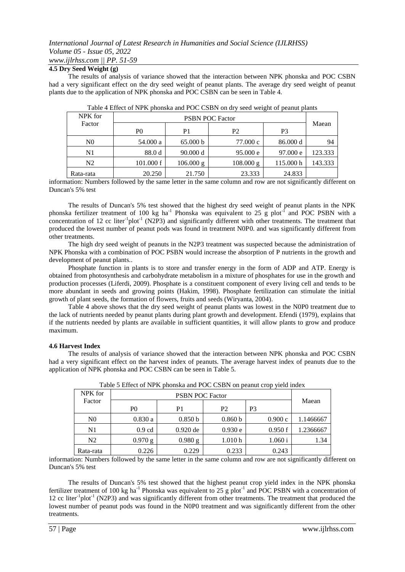## *www.ijlrhss.com || PP. 51-59*

### **4.5 Dry Seed Weight (g)**

The results of analysis of variance showed that the interaction between NPK phonska and POC CSBN had a very significant effect on the dry seed weight of peanut plants. The average dry seed weight of peanut plants due to the application of NPK phonska and POC CSBN can be seen in Table 4.

| NPK for        | <b>PSBN POC Factor</b> |                     |                     |           |         |
|----------------|------------------------|---------------------|---------------------|-----------|---------|
| Factor         | P <sub>0</sub>         | P1                  | P <sub>2</sub>      | P3        | Maean   |
| N <sub>0</sub> | 54.000 a               | 65.000 b            | 77.000 c            | 86.000 d  | 94      |
| N1             | 88.0d                  | 90.000 d            | 95.000 e            | 97.000 e  | 123.333 |
| N <sub>2</sub> | 101.000 f              | $106.000 \text{ g}$ | $108.000 \text{ g}$ | 115.000 h | 143.333 |
| Rata-rata      | 20.250                 | 21.750              | 23.333              | 24.833    |         |

|  | Table 4 Effect of NPK phonska and POC CSBN on dry seed weight of peanut plants |
|--|--------------------------------------------------------------------------------|
|  |                                                                                |

information: Numbers followed by the same letter in the same column and row are not significantly different on Duncan's 5% test

The results of Duncan's 5% test showed that the highest dry seed weight of peanut plants in the NPK phonska fertilizer treatment of 100 kg ha<sup>-1</sup> Phonska was equivalent to 25 g plot<sup>-f</sup> and POC PSBN with a concentration of 12 cc liter<sup>-1</sup>plot<sup>-1</sup> (N2P3) and significantly different with other treatments. The treatment that produced the lowest number of peanut pods was found in treatment N0P0. and was significantly different from other treatments.

The high dry seed weight of peanuts in the N2P3 treatment was suspected because the administration of NPK Phonska with a combination of POC PSBN would increase the absorption of P nutrients in the growth and development of peanut plants..

Phosphate function in plants is to store and transfer energy in the form of ADP and ATP. Energy is obtained from photosynthesis and carbohydrate metabolism in a mixture of phosphates for use in the growth and production processes (Liferdi, 2009). Phosphate is a constituent component of every living cell and tends to be more abundant in seeds and growing points (Hakim, 1998). Phosphate fertilization can stimulate the initial growth of plant seeds, the formation of flowers, fruits and seeds (Wiryanta, 2004).

Table 4 above shows that the dry seed weight of peanut plants was lowest in the N0P0 treatment due to the lack of nutrients needed by peanut plants during plant growth and development. Efendi (1979), explains that if the nutrients needed by plants are available in sufficient quantities, it will allow plants to grow and produce maximum.

### **4.6 Harvest Index**

The results of analysis of variance showed that the interaction between NPK phonska and POC CSBN had a very significant effect on the harvest index of peanuts. The average harvest index of peanuts due to the application of NPK phonska and POC CSBN can be seen in Table 5.

| Tuble 5 Entert of The Information and T OC CODIT on peanal erop There maent |           |            |         |         |           |
|-----------------------------------------------------------------------------|-----------|------------|---------|---------|-----------|
| NPK for                                                                     |           |            |         |         |           |
| Factor                                                                      | P0        | P1         | P2      | P3      | Maean     |
| N <sub>0</sub>                                                              | 0.830a    | 0.850 b    | 0.860 b | 0.900c  | 1.1466667 |
| N1                                                                          | $0.9$ cd  | $0.920$ de | 0.930 e | 0.950 f | 1.2366667 |
| N2                                                                          | $0.970$ g | 0.980 g    | 1.010h  | 1.060 i | 1.34      |
| Rata-rata                                                                   | 0.226     | 0.229      | 0.233   | 0.243   |           |

|  | Table 5 Effect of NPK phonska and POC CSBN on peanut crop yield index |
|--|-----------------------------------------------------------------------|

information: Numbers followed by the same letter in the same column and row are not significantly different on Duncan's 5% test

The results of Duncan's 5% test showed that the highest peanut crop yield index in the NPK phonska fertilizer treatment of 100 kg ha<sup>-1</sup> Phonska was equivalent to 25 g plot<sup>-1</sup> and POC PSBN with a concentration of 12 cc liter<sup>-1</sup>plot<sup>-1</sup> (N2P3) and was significantly different from other treatments. The treatment that produced the lowest number of peanut pods was found in the N0P0 treatment and was significantly different from the other treatments.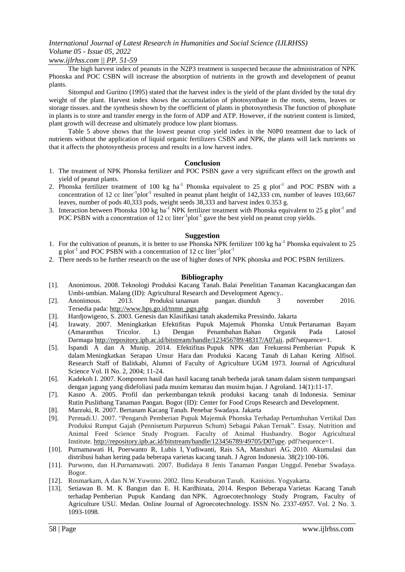### *www.ijlrhss.com || PP. 51-59*

The high harvest index of peanuts in the N2P3 treatment is suspected because the administration of NPK Phonska and POC CSBN will increase the absorption of nutrients in the growth and development of peanut plants.

Sitompul and Guritno (1995) stated that the harvest index is the yield of the plant divided by the total dry weight of the plant. Harvest index shows the accumulation of photosynthate in the roots, stems, leaves or storage tissues. and the synthesis shown by the coefficient of plants in photosynthesis The function of phosphate in plants is to store and transfer energy in the form of ADP and ATP. However, if the nutrient content is limited, plant growth will decrease and ultimately produce low plant biomass.

Table 5 above shows that the lowest peanut crop yield index in the N0P0 treatment due to lack of nutrients without the application of liquid organic fertilizers CSBN and NPK, the plants will lack nutrients so that it affects the photosynthesis process and results in a low harvest index.

### **Conclusion**

- 1. The treatment of NPK Phonska fertilizer and POC PSBN gave a very significant effect on the growth and yield of peanut plants.
- 2. Phonska fertilizer treatment of 100 kg ha<sup>-1</sup> Phonska equivalent to 25 g plot<sup>-1</sup> and POC PSBN with a concentration of 12 cc liter<sup>-1</sup>plot<sup>-1</sup> resulted in peanut plant height of 142,333 cm, number of leaves 103,667 leaves, number of pods 40,333 pods, weight seeds 38,333 and harvest index 0.353 g.
- 3. Interaction between Phonska 100 kg ha<sup>-1</sup> NPK fertilizer treatment with Phonska equivalent to 25 g plot<sup>-1</sup> and POC PSBN with a concentration of 12 cc liter $^{-1}$ plot<sup>-1</sup> gave the best yield on peanut crop yields.

### **Suggestion**

- 1. For the cultivation of peanuts, it is better to use Phonska NPK fertilizer 100 kg ha<sup>-1</sup> Phonska equivalent to 25 g plot<sup>-1</sup> and POC PSBN with a concentration of 12 cc liter<sup>-1</sup>plot<sup>-1</sup>
- 2. There needs to be further research on the use of higher doses of NPK phonska and POC PSBN fertilizers.

### **Bibliography**

- [1]. Anonimous. 2008. Teknologi Produksi Kacang Tanah. Balai Penelitian Tanaman Kacangkacangan dan Umbi-umbian. Malang (ID): Agricultural Research and Development Agency..
- [2]. Anonimous. 2013. Produksi tanaman pangan. diunduh 3 november 2016. Tersedia pada: [http://www.bps.go.id/tnmn\\_pgn.php](http://www.bps.go.id/tnmn_pgn.php)
- [3]. Hardjowigeno, S. 2003. Genesis dan Klasifikasi tanah akademika Pressindo. Jakarta
- [4]. Irawaty. 2007. Meningkatkan Efektifitas Pupuk Majemuk Phonska Untuk Pertanaman Bayam (Amaranthus Tricolor. L) Dengan Penambahan Bahan Organik Pada Latosol Darmaga [http://repository.ipb.ac.id/bitstream/handle/123456789/48317/A07aii.](http://repository.ipb.ac.id/bitstream/handle/123456789/48317/A07aii) pdf?sequence=1.
- [5]. Ispandi A dan A Munip. 2014. Efektifitas Pupuk NPK dan Frekuensi Pemberian Pupuk K dalam Meningkatkan Serapan Unsur Hara dan Produksi Kacang Tanah di Lahan Kering Alfisol. Research Staff of Balitkabi, Alumni of Faculty of Agriculture UGM 1973. Journal of Agricultural Science Vol. II No. 2, 2004; 11-24.
- [6]. Kadekoh I. 2007. Komponen hasil dan hasil kacang tanah berbeda jarak tanam dalam sistem tumpangsari dengan jagung yang didefoliasi pada musim kemarau dan musim hujan. J Agroland. 14(1):11-17.
- [7]. Kasno A. 2005. Profil dan perkembangan teknik produksi kacang tanah di Indonesia. Seminar Rutin Puslitbang Tanaman Pangan. Bogor (ID): Center for Food Crops Research and Development.
- [8]. Marzuki, R. 2007. Bertanam Kacang Tanah. Penebar Swadaya. Jakarta
- [9]. Permadi.U. 2007. "Pengaruh Pemberian Pupuk Majemuk Phonska Terhadap Pertumbuhan Vertikal Dan Produksi Rumput Gajah (Pennisetum Purpureun Schum) Sebagai Pakan Ternak". Essay. Nutrition and Animal Feed Science Study Program. Faculty of Animal Husbandry. Bogor Agricultural Institute. [http://repository.ipb.ac.id/bitstream/handle/123456789/49705/D07upe.](http://repository.ipb.ac.id/bitstream/handle/123456789/49705/D07upe) pdf?sequence=1.
- [10]. Purnamawati H, Poerwanto R, Lubis I, Yudiwanti, Rais SA, Manshuri AG. 2010. Akumulasi dan distribusi bahan kering pada beberapa varietas kacang tanah. J Agron Indonesia. 38(2):100-106.
- [11]. Purwono, dan H.Purnamawati. 2007. Budidaya 8 Jenis Tanaman Pangan Unggul. Penebar Swadaya. Bogor.
- [12]. Rosmarkam, A dan N.W.Yuwono. 2002. Ilmu Kesuburan Tanah. Kanisius. Yogyakarta.
- [13]. Setiawan B. M. K Bangun dan E. H. Kardhinata, 2014. Respon Beberapa Varietas Kacang Tanah terhadap Pemberian Pupuk Kandang dan NPK. Agroecotechnology Study Program, Faculty of Agriculture USU. Medan. Online Journal of Agroecotechnology. ISSN No. 2337-6957. Vol. 2 No. 3. 1093-1098.